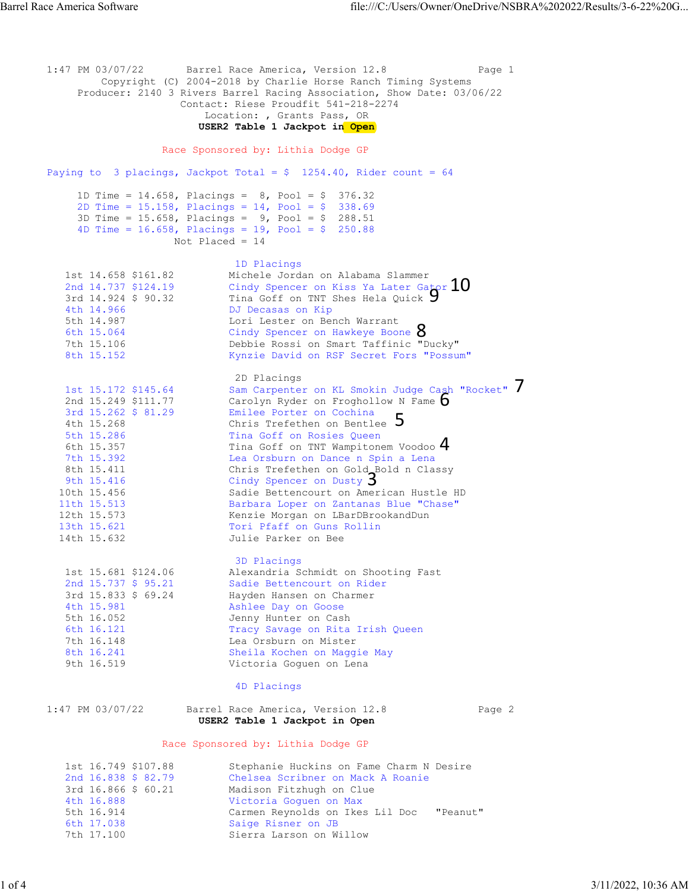1:47 PM 03/07/22 Barrel Race America, Version 12.8 Page 1 Copyright (C) 2004-2018 by Charlie Horse Ranch Timing Systems Producer: 2140 3 Rivers Barrel Racing Association, Show Date: 03/06/22 Contact: Riese Proudfit 541-218-2274 Location: , Grants Pass, OR  **USER2 Table 1 Jackpot in Open**  Race Sponsored by: Lithia Dodge GP Paying to 3 placings, Jackpot Total =  $$ 1254.40$ , Rider count = 64 1D Time =  $14.658$ , Placings =  $8$ , Pool = \$ 376.32 2D Time = 15.158, Placings = 14, Pool = \$ 338.69  $3D$  Time = 15.658, Placings = 9, Pool = \$ 288.51 4D Time = 16.658, Placings = 19, Pool = \$ 250.88 Not Placed = 14 1D Placings 1st 14.658 \$161.82 Michele Jordan on Alabama Slammer 2nd 14.737 \$124.19 Cindy Spencer on Kiss Ya Later Gator 3rd 14.924 \$ 90.32 Tina Goff on TNT Shes Hela Quick 4th 14.966 DJ Decasas on Kip 5th 14.987 Lori Lester on Bench Warrant 6th 15.064 Cindy Spencer on Hawkeye Boone 6th 15.064 Cindy Spencer on Hawkeye Boone 8<br>7th 15.106 Debbie Rossi on Smart Taffinic "Ducky" 8th 15.152 Kynzie David on RSF Secret Fors "Possum" 2D Placings 1st 15.172 \$145.64 Sam Carpenter on KL Smokin Judge Cash "Rocket" 2nd 15.249 \$111.77 Carolyn Ryder on Froghollow N Fame 3rd 15.262 \$ 81.29 Emilee Porter on Cochina 4th 15.268 Chris Trefethen on Bentlee 5th 15.286 Tina Goff on Rosies Queen 6th 15.357 Tina Goff on TNT Wampitonem Voodoo 7th 15.392 Lea Orsburn on Dance n Spin a Lena 8th 15.411 Chris Trefethen on Gold Bold n Classy 9th 15.416 Cindy Spencer on Dusty 10th 15.456 Sadie Bettencourt on American Hustle HD 11th 15.513 Barbara Loper on Zantanas Blue "Chase" 12th 15.573 Kenzie Morgan on LBarDBrookandDun 13th 15.621 Tori Pfaff on Guns Rollin 14th 15.632 Julie Parker on Bee 3D Placings 1st 15.681 \$124.06 Alexandria Schmidt on Shooting Fast 2nd 15.737 \$ 95.21 Sadie Bettencourt on Rider 3rd 15.833 \$ 69.24 Hayden Hansen on Charmer 4th 15.981 Ashlee Day on Goose 5th 16.052 Jenny Hunter on Cash 6th 16.121 Tracy Savage on Rita Irish Queen 7th 16.148 Lea Orsburn on Mister 8th 16.241 Sheila Kochen on Maggie May<br>9th 16.519 Victoria Goguen on Lena Victoria Goguen on Lena 4D Placings 1:47 PM 03/07/22 Barrel Race America, Version 12.8 Page 2  **USER2 Table 1 Jackpot in Open**  Race Sponsored by: Lithia Dodge GP 1st 16.749 \$107.88 Stephanie Huckins on Fame Charm N Desire 2nd 16.838 \$ 82.79 Chelsea Scribner on Mack A Roanie 3rd 16.866 \$ 60.21 Madison Fitzhugh on Clue 4th 16.888 Victoria Goguen on Max 5th 16.914 Carmen Reynolds on Ikes Lil Doc "Peanut" 6th 17.038 Saige Risner on JB 7th 17.100 Sierra Larson on Willow  $\mathbf{3}$ 4 5 6 7 **9** 10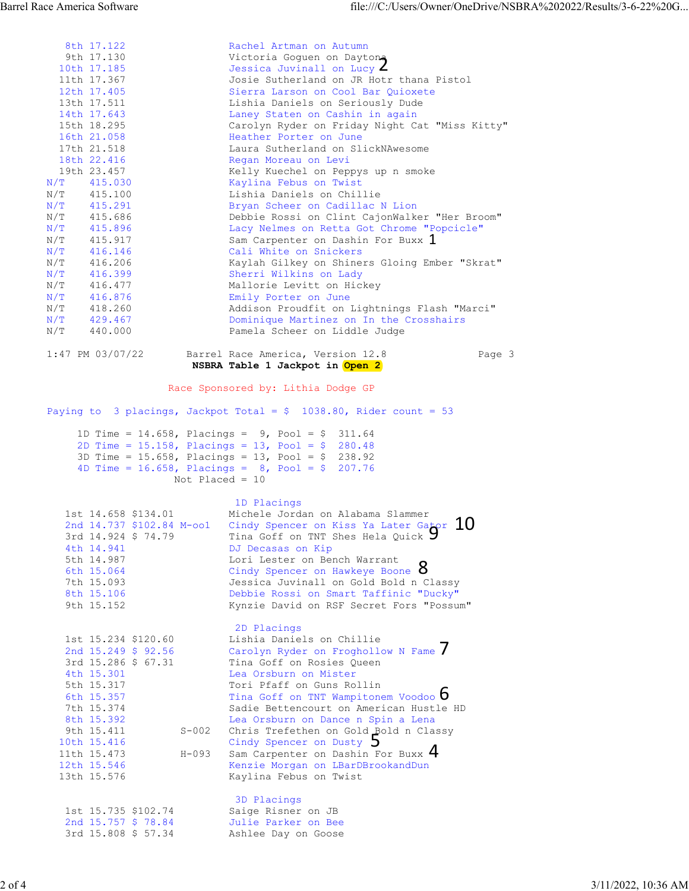|           | 8th 17.122           | Rachel Artman on Autumn                        |  |
|-----------|----------------------|------------------------------------------------|--|
|           | 9th 17.130           | Victoria Goguen on Daytona                     |  |
|           | 10th 17.185          | Jessica Juvinall on Lucy $\angle$              |  |
|           | 11th 17.367          | Josie Sutherland on JR Hotr thana Pistol       |  |
|           | 12th 17.405          | Sierra Larson on Cool Bar Quioxete             |  |
|           | 13th 17.511          | Lishia Daniels on Seriously Dude               |  |
|           | 14th 17.643          | Laney Staten on Cashin in again                |  |
|           | 15th 18.295          | Carolyn Ryder on Friday Night Cat "Miss Kitty" |  |
|           | 16th 21.058          | Heather Porter on June                         |  |
|           | 17th 21.518          | Laura Sutherland on SlickNAwesome              |  |
|           | 18th 22.416          | Regan Moreau on Levi                           |  |
|           | 19th 23.457          | Kelly Kuechel on Peppys up n smoke             |  |
|           | $N/T$ 415.030        | Kaylina Febus on Twist                         |  |
|           | N/T 415.100          | Lishia Daniels on Chillie                      |  |
|           | $N/T$ 415.291        | Bryan Scheer on Cadillac N Lion                |  |
|           | N/T 415.686          | Debbie Rossi on Clint CajonWalker "Her Broom"  |  |
|           | $N/T$ 415.896        | Lacy Nelmes on Retta Got Chrome "Popcicle"     |  |
|           | N/T 415.917          | Sam Carpenter on Dashin For Buxx 1             |  |
|           | $N/T$ 416.146        | Cali White on Snickers                         |  |
| N/T       | 416.206              | Kaylah Gilkey on Shiners Gloing Ember "Skrat"  |  |
| N/T       | 416.399              | Sherri Wilkins on Lady                         |  |
|           | $N/T$ 416.477        | Mallorie Levitt on Hickey                      |  |
| N/T       | 416.876              | Emily Porter on June                           |  |
| N/T       | 418.260              | Addison Proudfit on Lightnings Flash "Marci"   |  |
|           | $N/T$ 429.467        | Dominique Martinez on In the Crosshairs        |  |
| $\rm N/T$ | 440.000              | Pamela Scheer on Liddle Judge                  |  |
|           | $1:47$ PM $03/07/22$ | Barrel Race America, Version 12.8<br>Page 3    |  |

## **NSBRA Table 1 Jackpot in Open 2**

| N/T<br>415.917<br>N/T<br>416.146 |           | Sam Carpenter on Dashin For Buxx 1<br>Cali White on Snickers         |        |                     |
|----------------------------------|-----------|----------------------------------------------------------------------|--------|---------------------|
| N/T<br>416.206                   |           | Kaylah Gilkey on Shiners Gloing Ember "Skrat"                        |        |                     |
| N/T<br>416.399                   |           | Sherri Wilkins on Lady                                               |        |                     |
| N/T<br>416.477                   |           | Mallorie Levitt on Hickey                                            |        |                     |
| N/T<br>416.876                   |           | Emily Porter on June                                                 |        |                     |
| N/T<br>418.260                   |           | Addison Proudfit on Lightnings Flash "Marci"                         |        |                     |
| N/T<br>429.467                   |           | Dominique Martinez on In the Crosshairs                              |        |                     |
| N/T<br>440.000                   |           | Pamela Scheer on Liddle Judge                                        |        |                     |
| $1:47$ PM 03/07/22               |           | Barrel Race America, Version 12.8<br>NSBRA Table 1 Jackpot in Open 2 | Page 3 |                     |
|                                  |           | Race Sponsored by: Lithia Dodge GP                                   |        |                     |
|                                  |           | Paying to 3 placings, Jackpot Total = $$1038.80$ , Rider count = 53  |        |                     |
|                                  |           | 1D Time = 14.658, Placings = $9$ , Pool = \$ 311.64                  |        |                     |
|                                  |           | 2D Time = $15.158$ , Placings = $13$ , Pool = $$280.48$              |        |                     |
|                                  |           | 3D Time = $15.658$ , Placings = $13$ , Pool = \$ 238.92              |        |                     |
|                                  |           | 4D Time = $16.658$ , Placings = $8$ , Pool = $\frac{207.76}{ }$      |        |                     |
|                                  |           | Not Placed = $10$                                                    |        |                     |
|                                  |           | 1D Placings                                                          |        |                     |
| 1st 14.658 \$134.01              |           | Michele Jordan on Alabama Slammer                                    |        |                     |
| 2nd 14.737 \$102.84 M-oo1        |           | Cindy Spencer on Kiss Ya Later Gator $10$                            |        |                     |
| 3rd 14.924 \$ 74.79              |           | Tina Goff on TNT Shes Hela Quick 7                                   |        |                     |
| 4th 14.941                       |           | DJ Decasas on Kip                                                    |        |                     |
| 5th 14.987                       |           | Lori Lester on Bench Warrant                                         |        |                     |
| 6th 15.064                       |           | Cindy Spencer on Hawkeye Boone O                                     |        |                     |
| 7th 15.093                       |           | Jessica Juvinall on Gold Bold n Classy                               |        |                     |
| 8th 15.106                       |           | Debbie Rossi on Smart Taffinic "Ducky"                               |        |                     |
| 9th 15.152                       |           | Kynzie David on RSF Secret Fors "Possum"                             |        |                     |
|                                  |           | 2D Placings                                                          |        |                     |
| 1st 15.234 \$120.60              |           | Lishia Daniels on Chillie                                            |        |                     |
| 2nd 15.249 \$ 92.56              |           | Carolyn Ryder on Froghollow N Fame                                   |        |                     |
| 3rd 15.286 \$ 67.31              |           | Tina Goff on Rosies Queen                                            |        |                     |
| 4th 15.301                       |           | Lea Orsburn on Mister                                                |        |                     |
| 5th 15.317                       |           | Tori Pfaff on Guns Rollin                                            |        |                     |
| 6th 15.357                       |           | Tina Goff on TNT Wampitonem Voodoo 0                                 |        |                     |
| 7th 15.374                       |           | Sadie Bettencourt on American Hustle HD                              |        |                     |
| 8th 15.392                       |           | Lea Orsburn on Dance n Spin a Lena                                   |        |                     |
| 9th 15.411                       | $S-002$   | Chris Trefethen on Gold Bold n Classy                                |        |                     |
| 10th 15.416                      |           | Cindy Spencer on Dusty )                                             |        |                     |
| 11th 15.473                      | $H - 093$ | Sam Carpenter on Dashin For Buxx 4                                   |        |                     |
| 12th 15.546                      |           | Kenzie Morgan on LBarDBrookandDun                                    |        |                     |
| 13th 15.576                      |           | Kaylina Febus on Twist                                               |        |                     |
|                                  |           | 3D Placings                                                          |        |                     |
| 1st 15.735 \$102.74              |           | Saige Risner on JB                                                   |        |                     |
| 2nd 15.757 \$ 78.84              |           | Julie Parker on Bee                                                  |        |                     |
| 3rd 15.808 \$ 57.34              |           | Ashlee Day on Goose                                                  |        |                     |
|                                  |           |                                                                      |        |                     |
|                                  |           |                                                                      |        | 3/11/2022, 10:36 AM |
|                                  |           |                                                                      |        |                     |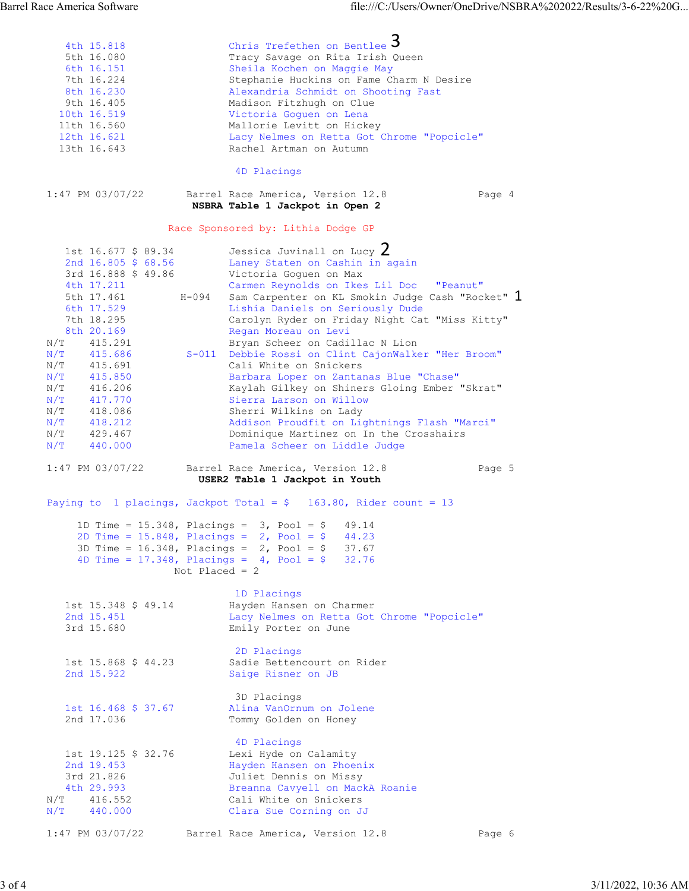|          | 4th 15.818                        | Chris Trefethen on Bentlee 5                                                                                      |                     |
|----------|-----------------------------------|-------------------------------------------------------------------------------------------------------------------|---------------------|
|          | 5th 16.080                        | Tracy Savage on Rita Irish Queen                                                                                  |                     |
|          | 6th 16.151<br>7th 16.224          | Sheila Kochen on Maggie May<br>Stephanie Huckins on Fame Charm N Desire                                           |                     |
|          | 8th 16.230                        | Alexandria Schmidt on Shooting Fast                                                                               |                     |
|          | 9th 16.405<br>10th 16.519         | Madison Fitzhugh on Clue<br>Victoria Goguen on Lena                                                               |                     |
|          | 11th 16.560                       | Mallorie Levitt on Hickey                                                                                         |                     |
|          | 12th 16.621                       | Lacy Nelmes on Retta Got Chrome "Popcicle"                                                                        |                     |
|          | 13th 16.643                       | Rachel Artman on Autumn                                                                                           |                     |
|          |                                   | 4D Placings                                                                                                       |                     |
|          | $1:47$ PM 03/07/22                | Barrel Race America, Version 12.8<br>Page 4<br>NSBRA Table 1 Jackpot in Open 2                                    |                     |
|          |                                   | Race Sponsored by: Lithia Dodge GP                                                                                |                     |
|          | 1st 16.677 \$ 89.34               | Jessica Juvinall on Lucy $Z$                                                                                      |                     |
|          | 2nd 16.805 \$ 68.56               | Laney Staten on Cashin in again                                                                                   |                     |
|          | 3rd 16.888 \$ 49.86               | Victoria Goguen on Max                                                                                            |                     |
|          | 4th 17.211<br>5th 17.461          | Carmen Reynolds on Ikes Lil Doc "Peanut"<br>H-094<br>Sam Carpenter on KL Smokin Judge Cash "Rocket" 1             |                     |
|          | 6th 17.529                        | Lishia Daniels on Seriously Dude                                                                                  |                     |
|          | 7th 18.295                        | Carolyn Ryder on Friday Night Cat "Miss Kitty"                                                                    |                     |
|          | 8th 20.169<br>N/T 415.291         | Regan Moreau on Levi<br>Bryan Scheer on Cadillac N Lion                                                           |                     |
|          | $N/T$ 415.686                     | S-011 Debbie Rossi on Clint CajonWalker "Her Broom"                                                               |                     |
|          | N/T<br>415.691                    | Cali White on Snickers                                                                                            |                     |
|          | N/T<br>415.850<br>N/T 416.206     | Barbara Loper on Zantanas Blue "Chase"<br>Kaylah Gilkey on Shiners Gloing Ember "Skrat"                           |                     |
|          | N/T 417.770                       | Sierra Larson on Willow                                                                                           |                     |
|          | N/T 418.086                       | Sherri Wilkins on Lady                                                                                            |                     |
|          | $N/T$ 418.212<br>N/T<br>429.467   | Addison Proudfit on Lightnings Flash "Marci"<br>Dominique Martinez on In the Crosshairs                           |                     |
|          | N/T<br>440.000                    | Pamela Scheer on Liddle Judge                                                                                     |                     |
|          | $1:47$ PM 03/07/22                | Barrel Race America, Version 12.8<br>Page 5                                                                       |                     |
|          |                                   | USER2 Table 1 Jackpot in Youth                                                                                    |                     |
|          |                                   | Paying to 1 placings, Jackpot Total = $$$ 163.80, Rider count = 13                                                |                     |
|          |                                   | 1D Time = $15.348$ , Placings = $3$ , Pool = $$$ 49.14                                                            |                     |
|          |                                   | 2D Time = $15.848$ , Placings = 2, Pool = \$<br>44.23<br>3D Time = $16.348$ , Placings = $2$ , Pool = \$<br>37.67 |                     |
|          |                                   | 4D Time = $17.348$ , Placings = $4$ , Pool = \$<br>32.76                                                          |                     |
|          |                                   | Not Placed = $2$                                                                                                  |                     |
|          |                                   | 1D Placings                                                                                                       |                     |
|          | 1st 15.348 \$ 49.14<br>2nd 15.451 | Hayden Hansen on Charmer<br>Lacy Nelmes on Retta Got Chrome "Popcicle"                                            |                     |
|          | 3rd 15.680                        | Emily Porter on June                                                                                              |                     |
|          |                                   | 2D Placings                                                                                                       |                     |
|          | 1st 15.868 \$ 44.23               | Sadie Bettencourt on Rider                                                                                        |                     |
|          | 2nd 15.922                        | Saige Risner on JB                                                                                                |                     |
|          |                                   | 3D Placings                                                                                                       |                     |
|          | 1st 16.468 \$ 37.67<br>2nd 17.036 | Alina VanOrnum on Jolene<br>Tommy Golden on Honey                                                                 |                     |
|          |                                   |                                                                                                                   |                     |
|          | 1st 19.125 \$ 32.76               | 4D Placings<br>Lexi Hyde on Calamity                                                                              |                     |
|          | 2nd 19.453                        | Hayden Hansen on Phoenix                                                                                          |                     |
|          | 3rd 21.826                        | Juliet Dennis on Missy                                                                                            |                     |
|          | 4th 29.993<br>N/T<br>416.552      | Breanna Cavyell on MackA Roanie<br>Cali White on Snickers                                                         |                     |
|          | N/T<br>440.000                    | Clara Sue Corning on JJ                                                                                           |                     |
|          | $1:47$ PM 03/07/22                | Barrel Race America, Version 12.8<br>Page 6                                                                       |                     |
|          |                                   |                                                                                                                   |                     |
|          |                                   |                                                                                                                   |                     |
| $3$ of 4 |                                   |                                                                                                                   | 3/11/2022, 10:36 AM |

| 1:47 PM 03/07/22 |  | Barrel Race America, Version 12.8 |  | Page 6 |
|------------------|--|-----------------------------------|--|--------|
|------------------|--|-----------------------------------|--|--------|